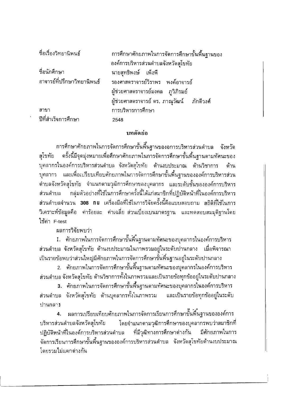| ชื่อเรื่องวิทยานิพนธ์       | การศึกษาศักยภาพในการจัดการศึกษาขั้นพื้นฐานของ  |
|-----------------------------|------------------------------------------------|
|                             | องค์การบริหารส่วนดำบลจังหวัดสุโขทัย            |
| ชื่อนักศึกษา                | นายสุทธิพงษ์ เพ็งพี                            |
| อาจารย์ที่ปรึกษาวิทยานิพนธ์ | รองศาสดราจารย์วิราพร พงค์อาจารย์               |
|                             | ผู้ช่วยศาสตราจารย์มงคล ภูวิภิรมย์              |
|                             | ผู้ช่วยศาสตราจารย์ ดร. ภาณุวัฒน์     ภักดีวงศ์ |
| สาขา                        | การบริหารการศึกษา                              |
| ปีที่สำเร็จการศึกษา         | 2548                                           |

## บทคัดย่อ

การศึกษาศักยภาพในการจัดการศึกษาขั้นพื้นฐานของอการบริหารส่วนตำบล จังหวัด ้ครั้งนี้มีจุดมุ่งหมายเพื่อศึกษาศักยภาพในการจัดการศึกษาขั้นพื้นฐานดามทัศนะของ สโขทัย บุคลากรในองค์การบริหารส่วนดำบล จังหวัดสุโขทัย ด้านงบประมาณ ด้านวิชาการ ด้าน บุคลากร และเพื่อเปรียบเทียบศักยภาพในการจัดการศึกษาขั้นพื้นฐานขององค์การบริหารส่วน ดำบลจังหวัดสุโขทัย จำแนกตามวุฒิการศึกษาของบุคลากร และระดับชั้นขององค์การบริหาร กลุ่มตัวอย่างที่ใช้ในการศึกษาครั้งนี้ได้แก่สมาชิกที่ปฏิบัติหน้าที่ในองค์การบริหาร ส่วนดำบล ี่ส่วนตำบลจำนวน 308 nu เครื่องมือที่ใช้ในการวิจัยครั้งนี้คือแบบสอบถาม สถิติที่ใช้ในการ วิเคราะห์ข้อมูลคือ ค่าร้อยละ ค่าเฉลี่ย ส่วนเบี่ยงเบนมาตรฐาน และทดสอบสมมุติฐานโดย ใช้ค่า F-test

ผลการวิจัยพบว่า

1. ศักยภาพในการจัดการศึกษาขั้นพื้นฐานตามทัศนะของบุคลากรในองค์การบริหาร ้ส่วนตำบล จังหวัดสุโขทัย ต้านงบประมาณในภาพรวมอยู่ในระดับปานกลาง เมื่อพิจารณา ้เป็นรายข้อพบว่าส่วนใหญ่มีศักยภาพในการจัดการศึกษาขั้นพื้นฐานอยู่ในระดับปานกลาง

2. ศักยภาพในการจัดการศึกษาขั้นพื้นฐานตามทัศนะของบุคลากรในองค์การบริหาร ้ส่วนดำบล จังหวัดสุโขทัย ด้านวิชาการทั้งในภาพรวมและเป็นรายข้อทุกข้ออยู่ในระดับปานกลาง

3. ศักยภาพในการจัดการศึกษาขั้นพื้นฐานตามทัศนะของบุคลากรในองค์การบริหาร ้ส่วนตำบล จังหวัดสุโขทัย ด้านบุคลากรทั้งในภาพรวม และเป็นรายข้อทุกข้ออยู่ในระดับ ปานกลาง

ผลการเปรียบเทียบศักยภาพในการจัดการเรียนการศึกษาขั้นพื้นฐานขององค์การ  $4.$ บริหารส่วนตำบลจังหวัดสุโขทัย โดยจำแนกตามวุฒิการศึกษาของบุคลากรพบว่าสมาชิกที่ ปฏิบัติหน้าที่ในองค์การบริหารส่วนตำบล ที่มีวุฒิทางการศึกษาต่างกัน มีศักยภาพในการ จัดการเรียนการศึกษาขั้นพื้นฐานขององค์การบริหารส่วนดำบล จังหวัดสุโขทัยด้านงบประมาณ โดยรวมไม่แตกต่างกัน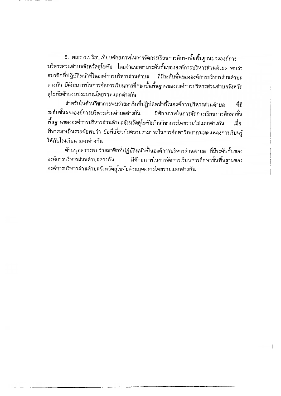5. ผลการเปรียบเทียบศักยภาพในการจัดการเรียนการศึกษาขั้นพื้นฐานขององค์การ บริหารส่วนตำบลจังหวัดสุโขทัย โดยจำแนกตามระดับชั้นขององค์การบริหารส่วนตำบล พบว่า สมาชิกที่ปฏิบัติหน้าที่ในองค์การบริหารส่วนตำบล ที่มีระดับชั้นขององค์การบริหารส่วนดำบล ต่างกัน มีศักยภาพในการจัดการเรียนการศึกษาขั้นพื้นฐานขององค์การบริหารส่วนดำบลจังหวัด สุโขทัยด้านงบประมาณโดยรวมแตกต่างกัน

สำหรับในด้านวิชาการพบว่าสมาชิกที่ปฏิบัติหน้าที่ในองค์การบริหารส่วนดำบล ที่มี ระดับชั้นขององค์การบริหารส่วนดำบลต่างกัน มีศักยภาพในการจัดการเรียนการศึกษาขั้น พื้นฐานขององค์การบริหารส่วนดำบลจังหวัดสุโขทัยด้านวิชาการโดยรวมไม่แดกด่างกัน เมื่อ พิจารณาเป็นรายข้อพบว่า ข้อที่เกี่ยวกับความสามารถในการจัดหาวิทยากรและแหล่งการเรียนรู้ ให้กับโรงเรียน แตกต่างกัน

ด้านบุคลากรพบว่าสมาชิกที่ปฏิบัติหน้าที่ในองค์การบริหารส่วนดำบล ที่มีระดับชั้นของ องค์การบริหารส่วนตำบลด่างกัน มีศักยภาพในการจัดการเรียนการศึกษาขั้นพื้นฐานของ องค์การบริหารส่วนตำบลจังหวัดสุโขทัยด้านบุคลากรโตยรวมแตกต่างกัน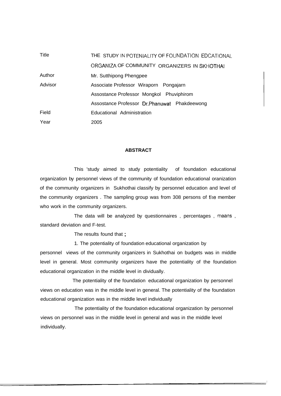| Title   | THE STUDY IN POTENIALITY OF FOUNDATION EDCATIONAL |
|---------|---------------------------------------------------|
|         | ORGANIZA OF COMMUNITY ORGANIZERS IN SKHOTHAI      |
| Author  | Mr. Sutthipong Phengpee                           |
| Advisor | Associate Professor Wiraporn Pongajarn            |
|         | Assostance Professor Mongkol Phuviphirom          |
|         | Assostance Professor Dr. Phanuwat Phakdeewong     |
| Field   | Educational Administration                        |
| Year    | 2005                                              |

## **ABSTRACT**

This 'study aimed to study potentiality of foundation educational organization by personnel views of the community of foundation educational oranization of the community organizers in Sukhothai classify by personnel education and level of the community organizers . The sampling group was from 308 persons of tlie member who work in the community organizers.

The data will be analyzed by questionnaires , percentages , means , standard deviation and F-test.

The results found that ;

1. The potentiality of foundation educational organization by

personnel views of the community organizers in Sukhothai on budgets was in middle level in general. Most community organizers have the potentiality of the foundation educational organization in the middle level in dividually.

The potentiality of the foundation educational organization by personnel views on education was in the middle level in general. The potentiality of the foundation educational organization was in the middle level individually

The potentiality of the foundation educational organization by personnel views on personnel was in the middle level in general and was in the middle level individually.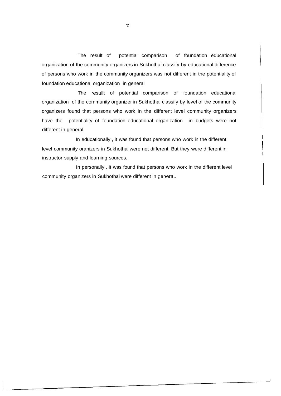The result of potential comparison of foundation educational organization of the community organizers in Sukhothai classify by educational difference of persons who work in the community organizers was not different in the potentiality of foundation educational organization in general

The resullt of potential comparison of foundation educational organization of the community organizer in Sukhothai classify by level of the community organizers found that persons who work in the different level community organizers have the potentiality of foundation educational organization in budgets were not different in general.

In educationally, it was found that persons who work in the different level community oranizers in Sukhothai were not different. But they were different in 1 instructor supply and learning sources.

In personally , it was found that persons who work in the different level community organizers in Sukhothai were different in general.